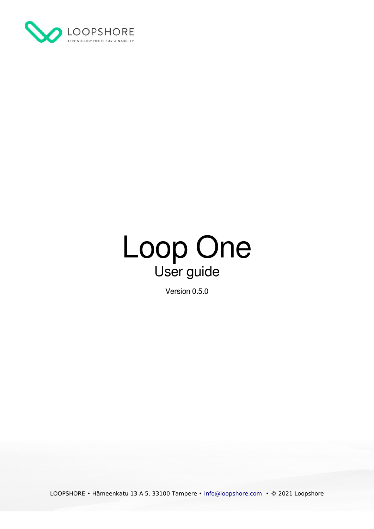



Version 0.5.0

LOOPSHORE • Hämeenkatu 13 A 5, 33100 Tampere • [info@loopshore.com](mailto:info@loopshore.com) • © 2021 Loopshore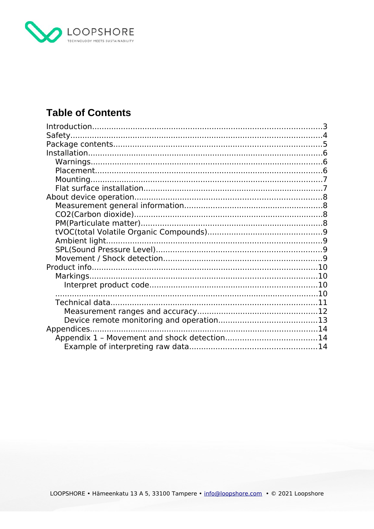

## **Table of Contents**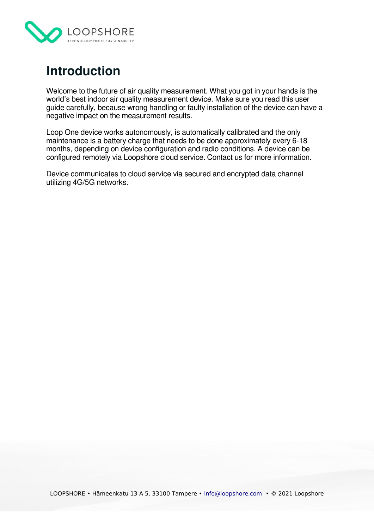

## <span id="page-2-0"></span>**Introduction**

Welcome to the future of air quality measurement. What you got in your hands is the world's best indoor air quality measurement device. Make sure you read this user guide carefully, because wrong handling or faulty installation of the device can have a negative impact on the measurement results.

Loop One device works autonomously, is automatically calibrated and the only maintenance is a battery charge that needs to be done approximately every 6-18 months, depending on device configuration and radio conditions. A device can be configured remotely via Loopshore cloud service. Contact us for more information.

Device communicates to cloud service via secured and encrypted data channel utilizing 4G/5G networks.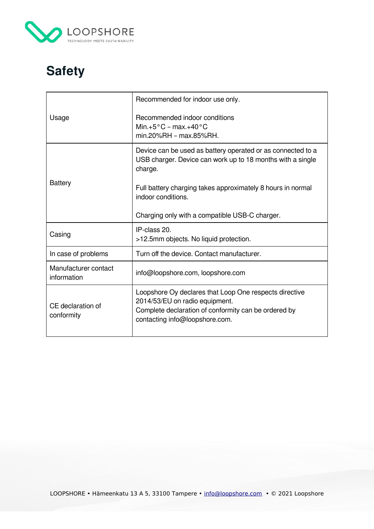

# <span id="page-3-0"></span>**Safety**

| Usage                               | Recommended for indoor use only.<br>Recommended indoor conditions<br>Min. $+5^{\circ}$ C - max. $+40^{\circ}$ C<br>min.20%RH - max.85%RH.                                                                                                                                   |
|-------------------------------------|-----------------------------------------------------------------------------------------------------------------------------------------------------------------------------------------------------------------------------------------------------------------------------|
| <b>Battery</b>                      | Device can be used as battery operated or as connected to a<br>USB charger. Device can work up to 18 months with a single<br>charge.<br>Full battery charging takes approximately 8 hours in normal<br>indoor conditions.<br>Charging only with a compatible USB-C charger. |
| Casing                              | IP-class 20.<br>>12.5mm objects. No liquid protection.                                                                                                                                                                                                                      |
| In case of problems                 | Turn off the device. Contact manufacturer.                                                                                                                                                                                                                                  |
| Manufacturer contact<br>information | info@loopshore.com, loopshore.com                                                                                                                                                                                                                                           |
| CE declaration of<br>conformity     | Loopshore Oy declares that Loop One respects directive<br>2014/53/EU on radio equipment.<br>Complete declaration of conformity can be ordered by<br>contacting info@loopshore.com.                                                                                          |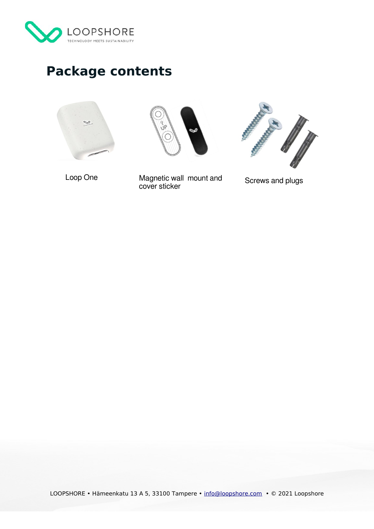

# <span id="page-4-0"></span>**Package contents**







Loop One **Magnetic wall mount and** cover sticker

Screws and plugs

LOOPSHORE • Hämeenkatu 13 A 5, 33100 Tampere • [info@loopshore.com](mailto:info@loopshore.com) • © 2021 Loopshore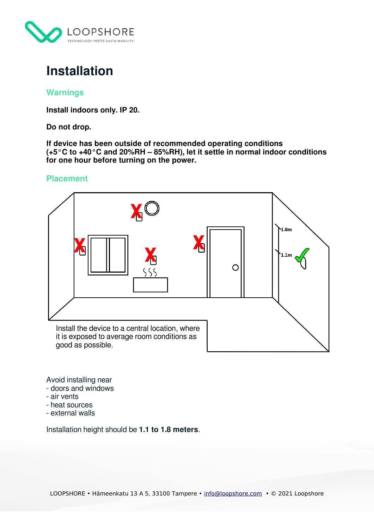

## <span id="page-5-2"></span>**Installation**

### <span id="page-5-1"></span>**Warnings**

**Install indoors only. IP 20.**

**Do not drop.**

**If device has been outside of recommended operating conditions (+5°C to +40°C and 20%RH – 85%RH), let it settle in normal indoor conditions for one hour before turning on the power.**

## <span id="page-5-0"></span>**Placement**



Avoid installing near

- doors and windows
- air vents
- heat sources
- external walls

Installation height should be **1.1 to 1.8 meters**.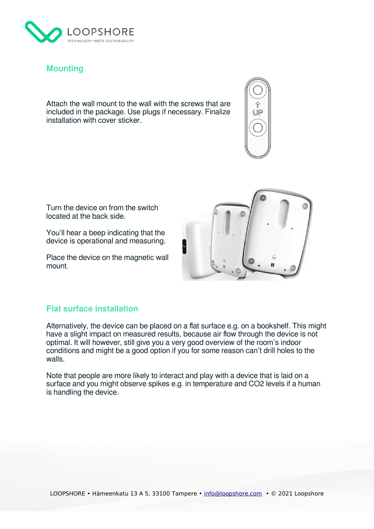

## <span id="page-6-1"></span>**Mounting**

Attach the wall mount to the wall with the screws that are included in the package. Use plugs if necessary. Finalize installation with cover sticker.



Turn the device on from the switch located at the back side.

You'll hear a beep indicating that the device is operational and measuring.

Place the device on the magnetic wall mount.



#### <span id="page-6-0"></span>**Flat surface installation**

Alternatively, the device can be placed on a flat surface e.g. on a bookshelf. This might have a slight impact on measured results, because air flow through the device is not optimal. It will however, still give you a very good overview of the room's indoor conditions and might be a good option if you for some reason can't drill holes to the walls.

Note that people are more likely to interact and play with a device that is laid on a surface and you might observe spikes e.g. in temperature and CO2 levels if a human is handling the device.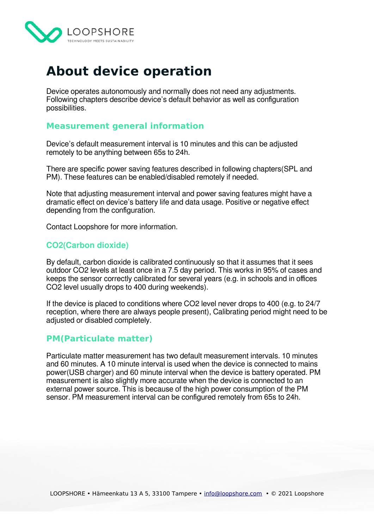

## <span id="page-7-3"></span>**About device operation**

Device operates autonomously and normally does not need any adjustments. Following chapters describe device's default behavior as well as configuration possibilities.

#### <span id="page-7-2"></span>**Measurement general information**

Device's default measurement interval is 10 minutes and this can be adjusted remotely to be anything between 65s to 24h.

There are specific power saving features described in following chapters(SPL and PM). These features can be enabled/disabled remotely if needed.

Note that adjusting measurement interval and power saving features might have a dramatic effect on device's battery life and data usage. Positive or negative effect depending from the configuration.

Contact Loopshore for more information.

#### <span id="page-7-1"></span>**CO2(Carbon dioxide)**

By default, carbon dioxide is calibrated continuously so that it assumes that it sees outdoor CO2 levels at least once in a 7.5 day period. This works in 95% of cases and keeps the sensor correctly calibrated for several years (e.g. in schools and in offices CO2 level usually drops to 400 during weekends).

If the device is placed to conditions where CO2 level never drops to 400 (e.g. to 24/7 reception, where there are always people present), Calibrating period might need to be adjusted or disabled completely.

#### <span id="page-7-0"></span>**PM(Particulate matter)**

Particulate matter measurement has two default measurement intervals. 10 minutes and 60 minutes. A 10 minute interval is used when the device is connected to mains power(USB charger) and 60 minute interval when the device is battery operated. PM measurement is also slightly more accurate when the device is connected to an external power source. This is because of the high power consumption of the PM sensor. PM measurement interval can be configured remotely from 65s to 24h.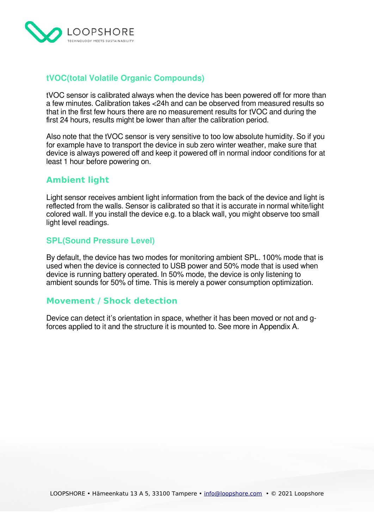

## <span id="page-8-3"></span>**tVOC(total Volatile Organic Compounds)**

tVOC sensor is calibrated always when the device has been powered off for more than a few minutes. Calibration takes <24h and can be observed from measured results so that in the first few hours there are no measurement results for tVOC and during the first 24 hours, results might be lower than after the calibration period.

Also note that the tVOC sensor is very sensitive to too low absolute humidity. So if you for example have to transport the device in sub zero winter weather, make sure that device is always powered off and keep it powered off in normal indoor conditions for at least 1 hour before powering on.

## <span id="page-8-2"></span>**Ambient light**

Light sensor receives ambient light information from the back of the device and light is reflected from the walls. Sensor is calibrated so that it is accurate in normal white/light colored wall. If you install the device e.g. to a black wall, you might observe too small light level readings.

### <span id="page-8-1"></span>**SPL(Sound Pressure Level)**

By default, the device has two modes for monitoring ambient SPL. 100% mode that is used when the device is connected to USB power and 50% mode that is used when device is running battery operated. In 50% mode, the device is only listening to ambient sounds for 50% of time. This is merely a power consumption optimization.

## <span id="page-8-0"></span>**Movement / Shock detection**

Device can detect it's orientation in space, whether it has been moved or not and gforces applied to it and the structure it is mounted to. See more in Appendix A.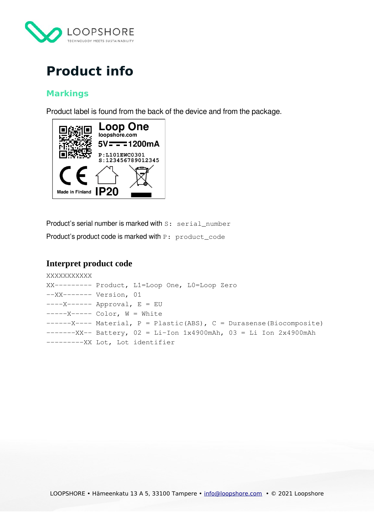

## <span id="page-9-3"></span>**Product info**

## <span id="page-9-2"></span>**Markings**

Product label is found from the back of the device and from the package.



Product's serial number is marked with S: serial number Product's product code is marked with P: product\_code

### <span id="page-9-1"></span>**Interpret product code**

```
XXXXXXXXXXX
XX--------- Product, L1=Loop One, L0=Loop Zero
--XX------- Version, 01
---X---- Approval, E = EU---X---Color, W = White------X---- Material, P = Plastic(ABS), C = Durasense(Biocomposite)
----XX-- Battery, 02 = Li-Ion 1x4900mAh, 03 = Li Ion 2x4900mAh---------XX Lot, Lot identifier
```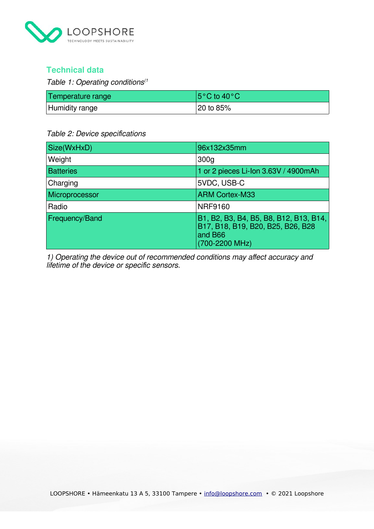

## <span id="page-10-0"></span>**Technical data**

Table 1: Operating conditions $(1)$ 

| Temperature range | $ 5^{\circ}$ C to 40 $^{\circ}$ C |
|-------------------|-----------------------------------|
| Humidity range    | $\frac{120}{10}$ to 85%           |

#### Table 2: Device specifications

| Size(WxHxD)      | 96x132x35mm                                                                                              |
|------------------|----------------------------------------------------------------------------------------------------------|
| Weight           | 300 <sub>g</sub>                                                                                         |
| <b>Batteries</b> | 1 or 2 pieces Li-Ion 3.63V / 4900mAh                                                                     |
| Charging         | 5VDC, USB-C                                                                                              |
| Microprocessor   | <b>ARM Cortex-M33</b>                                                                                    |
| Radio            | <b>NRF9160</b>                                                                                           |
| Frequency/Band   | B1, B2, B3, B4, B5, B8, B12, B13, B14,<br>B17, B18, B19, B20, B25, B26, B28<br>and B66<br>(700-2200 MHz) |

1) Operating the device out of recommended conditions may affect accuracy and lifetime of the device or specific sensors.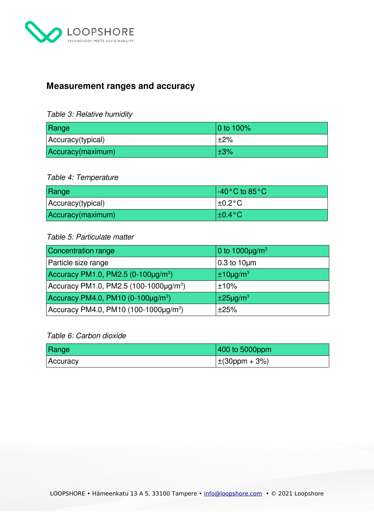

## <span id="page-11-0"></span>**Measurement ranges and accuracy**

#### Table 3: Relative humidity

| Range             | $ 0 \text{ to } 100\%$ |
|-------------------|------------------------|
| Accuracy(typical) | <sup>∣</sup> ±2%       |
| Accuracy(maximum) | $\pm 3\%$              |

#### Table 4: Temperature

| Range             | $\vert$ -40°C to 85°C. |
|-------------------|------------------------|
| Accuracy(typical) | $\pm 0.2$ °C           |
| Accuracy(maximum) | $\pm 0.4$ °C           |

#### Table 5: Particulate matter

| <b>Concentration range</b>                         | 0 to $1000 \mu g/m^3$      |
|----------------------------------------------------|----------------------------|
| Particle size range                                | $0.3$ to 10 $\mu$ m        |
| Accuracy PM1.0, PM2.5 (0-100µg/m <sup>3</sup> )    | $±10\mu g/m^3$             |
| Accuracy PM1.0, PM2.5 (100-1000µg/m <sup>3</sup> ) | ±10%                       |
| Accuracy PM4.0, PM10 $(0-100\mu g/m^3)$            | $\pm 25$ µg/m <sup>3</sup> |
| Accuracy PM4.0, PM10 $(100-1000\mu g/m^3)$         | ±25%                       |

### Table 6: Carbon dioxide

| Range    | 400 to 5000ppm            |
|----------|---------------------------|
| Accuracy | $ \pm(30\text{ppm}+3\%) $ |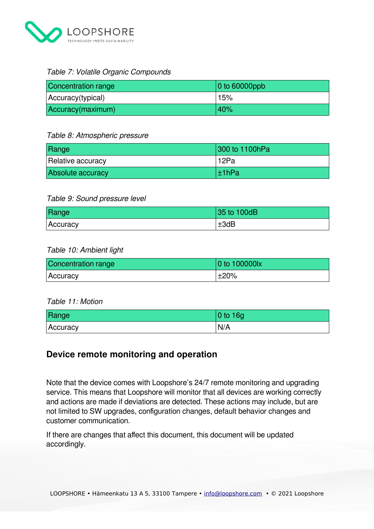

#### Table 7: Volatile Organic Compounds

| Concentration range | $ 0 \rangle$ to 60000ppb |
|---------------------|--------------------------|
| Accuracy(typical)   | 15%                      |
| Accuracy(maximum)   | 40%                      |

#### Table 8: Atmospheric pressure

| Range             | 300 to 1100hPa |
|-------------------|----------------|
| Relative accuracy | 12Pa           |
| Absolute accuracy | l±1hPa         |

#### Table 9: Sound pressure level

| Range    | 35 to 100dB |
|----------|-------------|
| Accuracy | ±3dB        |

#### Table 10: Ambient light

| Concentration range | $ 0 \rangle$ to 100000lx |
|---------------------|--------------------------|
| <b>Accuracy</b>     | ±20%                     |

#### Table 11: Motion

| Range    | 0 to 16g |
|----------|----------|
| Accuracy | N/A      |

## <span id="page-12-0"></span>**Device remote monitoring and operation**

Note that the device comes with Loopshore's 24/7 remote monitoring and upgrading service. This means that Loopshore will monitor that all devices are working correctly and actions are made if deviations are detected. These actions may include, but are not limited to SW upgrades, configuration changes, default behavior changes and customer communication.

If there are changes that affect this document, this document will be updated accordingly.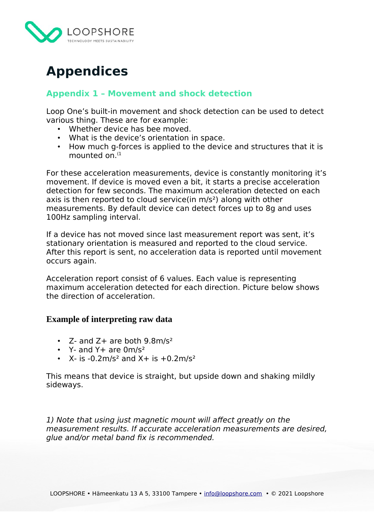

## <span id="page-13-2"></span>**Appendices**

## <span id="page-13-1"></span>**Appendix 1 – Movement and shock detection**

Loop One's built-in movement and shock detection can be used to detect various thing. These are for example:

- Whether device has bee moved.<br>• What is the device's orientation is
- What is the device's orientation in space.
- How much g-forces is applied to the device and structures that it is mounted on. $(1)$

For these acceleration measurements, device is constantly monitoring it's movement. If device is moved even a bit, it starts a precise acceleration detection for few seconds. The maximum acceleration detected on each axis is then reported to cloud service(in m/s²) along with other measurements. By default device can detect forces up to 8g and uses 100Hz sampling interval.

If a device has not moved since last measurement report was sent, it's stationary orientation is measured and reported to the cloud service. After this report is sent, no acceleration data is reported until movement occurs again.

Acceleration report consist of 6 values. Each value is representing maximum acceleration detected for each direction. Picture below shows the direction of acceleration.

#### <span id="page-13-0"></span>**Example of interpreting raw data**

- Z- and  $Z+$  are both  $9.8$ m/s<sup>2</sup>
- $Y-$  and  $Y+$  are  $0m/s^2$
- $X-$  is  $-0.2$ m/s<sup>2</sup> and  $X+$  is  $+0.2$ m/s<sup>2</sup>

This means that device is straight, but upside down and shaking mildly sideways.

1) Note that using just magnetic mount will affect greatly on the measurement results. If accurate acceleration measurements are desired, glue and/or metal band fix is recommended.